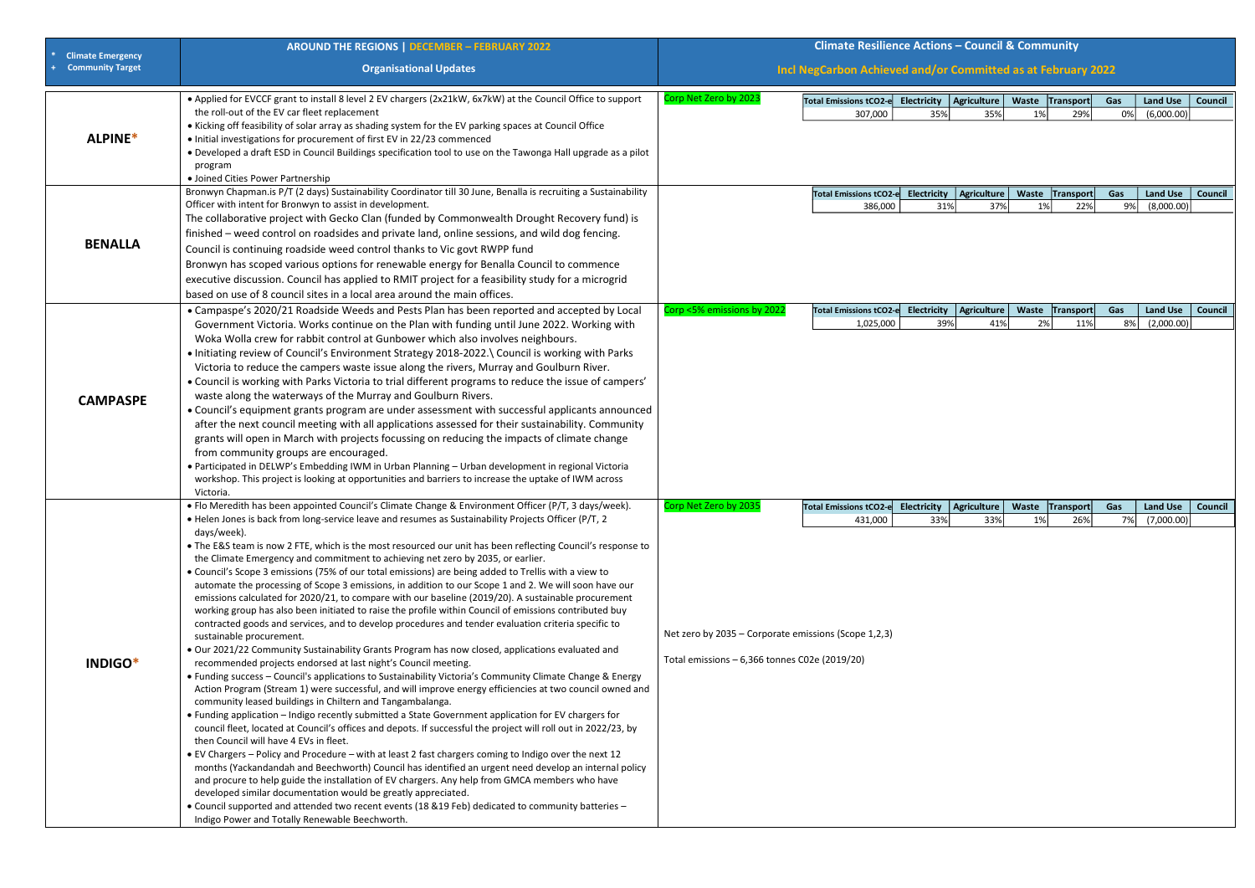| <b>Climate Emergency</b> | <b>AROUND THE REGIONS   DECEMBER - FEBRUARY 2022</b>                                                                                                                                                                                                                                                                                                                                                                                                                                                                                                                                                                                                                                                                                                                                                                                                                                                                                                                                                                                                                                                                                                                                                                                                                                                                                                                                                                                                                                                                                                                                                                                                                                                                                                                                                                                                                                                                                                                                                                                                                                                                                                                                                                                                                              |                                                                         | <b>Climate Resilience Actions - Council &amp; Community</b>                                                           |                    |                           |                       |                  |           |                                  |                |
|--------------------------|-----------------------------------------------------------------------------------------------------------------------------------------------------------------------------------------------------------------------------------------------------------------------------------------------------------------------------------------------------------------------------------------------------------------------------------------------------------------------------------------------------------------------------------------------------------------------------------------------------------------------------------------------------------------------------------------------------------------------------------------------------------------------------------------------------------------------------------------------------------------------------------------------------------------------------------------------------------------------------------------------------------------------------------------------------------------------------------------------------------------------------------------------------------------------------------------------------------------------------------------------------------------------------------------------------------------------------------------------------------------------------------------------------------------------------------------------------------------------------------------------------------------------------------------------------------------------------------------------------------------------------------------------------------------------------------------------------------------------------------------------------------------------------------------------------------------------------------------------------------------------------------------------------------------------------------------------------------------------------------------------------------------------------------------------------------------------------------------------------------------------------------------------------------------------------------------------------------------------------------------------------------------------------------|-------------------------------------------------------------------------|-----------------------------------------------------------------------------------------------------------------------|--------------------|---------------------------|-----------------------|------------------|-----------|----------------------------------|----------------|
| <b>Community Target</b>  | <b>Organisational Updates</b>                                                                                                                                                                                                                                                                                                                                                                                                                                                                                                                                                                                                                                                                                                                                                                                                                                                                                                                                                                                                                                                                                                                                                                                                                                                                                                                                                                                                                                                                                                                                                                                                                                                                                                                                                                                                                                                                                                                                                                                                                                                                                                                                                                                                                                                     | Incl NegCarbon Achieved and/or Committed as at February 2022            |                                                                                                                       |                    |                           |                       |                  |           |                                  |                |
| ALPINE*                  | • Applied for EVCCF grant to install 8 level 2 EV chargers (2x21kW, 6x7kW) at the Council Office to support<br>the roll-out of the EV car fleet replacement<br>• Kicking off feasibility of solar array as shading system for the EV parking spaces at Council Office<br>• Initial investigations for procurement of first EV in 22/23 commenced<br>. Developed a draft ESD in Council Buildings specification tool to use on the Tawonga Hall upgrade as a pilot                                                                                                                                                                                                                                                                                                                                                                                                                                                                                                                                                                                                                                                                                                                                                                                                                                                                                                                                                                                                                                                                                                                                                                                                                                                                                                                                                                                                                                                                                                                                                                                                                                                                                                                                                                                                                 | Corp Net Zero by 2023                                                   | Total Emissions tCO2-e Electricity   Agriculture<br>307,000                                                           | 35%                | 35%                       | Waste Transport<br>1% | 29%              | Gas<br>0% | <b>Land Use</b><br>(6,000.00)    | <b>Council</b> |
|                          | program<br>• Joined Cities Power Partnership<br>Bronwyn Chapman.is P/T (2 days) Sustainability Coordinator till 30 June, Benalla is recruiting a Sustainability                                                                                                                                                                                                                                                                                                                                                                                                                                                                                                                                                                                                                                                                                                                                                                                                                                                                                                                                                                                                                                                                                                                                                                                                                                                                                                                                                                                                                                                                                                                                                                                                                                                                                                                                                                                                                                                                                                                                                                                                                                                                                                                   |                                                                         | Total Emissions tCO2-e                                                                                                |                    | Electricity   Agriculture | Waste Transport       |                  | Gas       | <b>Land Use</b>                  | <b>Council</b> |
| <b>BENALLA</b>           | Officer with intent for Bronwyn to assist in development.<br>The collaborative project with Gecko Clan (funded by Commonwealth Drought Recovery fund) is<br>finished – weed control on roadsides and private land, online sessions, and wild dog fencing.<br>Council is continuing roadside weed control thanks to Vic govt RWPP fund<br>Bronwyn has scoped various options for renewable energy for Benalla Council to commence<br>executive discussion. Council has applied to RMIT project for a feasibility study for a microgrid<br>based on use of 8 council sites in a local area around the main offices.                                                                                                                                                                                                                                                                                                                                                                                                                                                                                                                                                                                                                                                                                                                                                                                                                                                                                                                                                                                                                                                                                                                                                                                                                                                                                                                                                                                                                                                                                                                                                                                                                                                                 |                                                                         | 386,000                                                                                                               | 31%                | 37%                       | 1%                    | 22%              | 9%        | (8,000.00)                       |                |
| <b>CAMPASPE</b>          | • Campaspe's 2020/21 Roadside Weeds and Pests Plan has been reported and accepted by Local<br>Government Victoria. Works continue on the Plan with funding until June 2022. Working with<br>Woka Wolla crew for rabbit control at Gunbower which also involves neighbours.<br>. Initiating review of Council's Environment Strategy 2018-2022.\ Council is working with Parks<br>Victoria to reduce the campers waste issue along the rivers, Murray and Goulburn River.<br>• Council is working with Parks Victoria to trial different programs to reduce the issue of campers'<br>waste along the waterways of the Murray and Goulburn Rivers.<br>• Council's equipment grants program are under assessment with successful applicants announced<br>after the next council meeting with all applications assessed for their sustainability. Community<br>grants will open in March with projects focussing on reducing the impacts of climate change<br>from community groups are encouraged.<br>• Participated in DELWP's Embedding IWM in Urban Planning - Urban development in regional Victoria<br>workshop. This project is looking at opportunities and barriers to increase the uptake of IWM across<br>Victoria.                                                                                                                                                                                                                                                                                                                                                                                                                                                                                                                                                                                                                                                                                                                                                                                                                                                                                                                                                                                                                                                        | Corp <5% emissions by 2022                                              | <b>Total Emissions tCO2-e</b><br>1,025,000                                                                            | Electricity<br>39% | <b>Agriculture</b><br>41% | Waste<br>2%           | Transport<br>11% | Gas<br>8% | <b>Land Use</b><br>(2,000.00)    | Council        |
| INDIGO*                  | • Flo Meredith has been appointed Council's Climate Change & Environment Officer (P/T, 3 days/week).<br>• Helen Jones is back from long-service leave and resumes as Sustainability Projects Officer (P/T, 2<br>days/week).<br>• The E&S team is now 2 FTE, which is the most resourced our unit has been reflecting Council's response to<br>the Climate Emergency and commitment to achieving net zero by 2035, or earlier.<br>• Council's Scope 3 emissions (75% of our total emissions) are being added to Trellis with a view to<br>automate the processing of Scope 3 emissions, in addition to our Scope 1 and 2. We will soon have our<br>emissions calculated for 2020/21, to compare with our baseline (2019/20). A sustainable procurement<br>working group has also been initiated to raise the profile within Council of emissions contributed buy<br>contracted goods and services, and to develop procedures and tender evaluation criteria specific to<br>sustainable procurement.<br>. Our 2021/22 Community Sustainability Grants Program has now closed, applications evaluated and<br>recommended projects endorsed at last night's Council meeting.<br>• Funding success - Council's applications to Sustainability Victoria's Community Climate Change & Energy<br>Action Program (Stream 1) were successful, and will improve energy efficiencies at two council owned and<br>community leased buildings in Chiltern and Tangambalanga.<br>• Funding application - Indigo recently submitted a State Government application for EV chargers for<br>council fleet, located at Council's offices and depots. If successful the project will roll out in 2022/23, by<br>then Council will have 4 EVs in fleet.<br>• EV Chargers - Policy and Procedure - with at least 2 fast chargers coming to Indigo over the next 12<br>months (Yackandandah and Beechworth) Council has identified an urgent need develop an internal policy<br>and procure to help guide the installation of EV chargers. Any help from GMCA members who have<br>developed similar documentation would be greatly appreciated.<br>• Council supported and attended two recent events (18 & 19 Feb) dedicated to community batteries -<br>Indigo Power and Totally Renewable Beechworth. | Corp Net Zero by 2035<br>Total emissions $-6,366$ tonnes C02e (2019/20) | Total Emissions tCO2-e Electricity   Agriculture  <br>431,000<br>Net zero by 2035 – Corporate emissions (Scope 1,2,3) | 33%                | 33%                       | Waste Transport<br>1% | 26%              | Gas       | <b>Land Use</b><br>7% (7,000.00) | <b>Council</b> |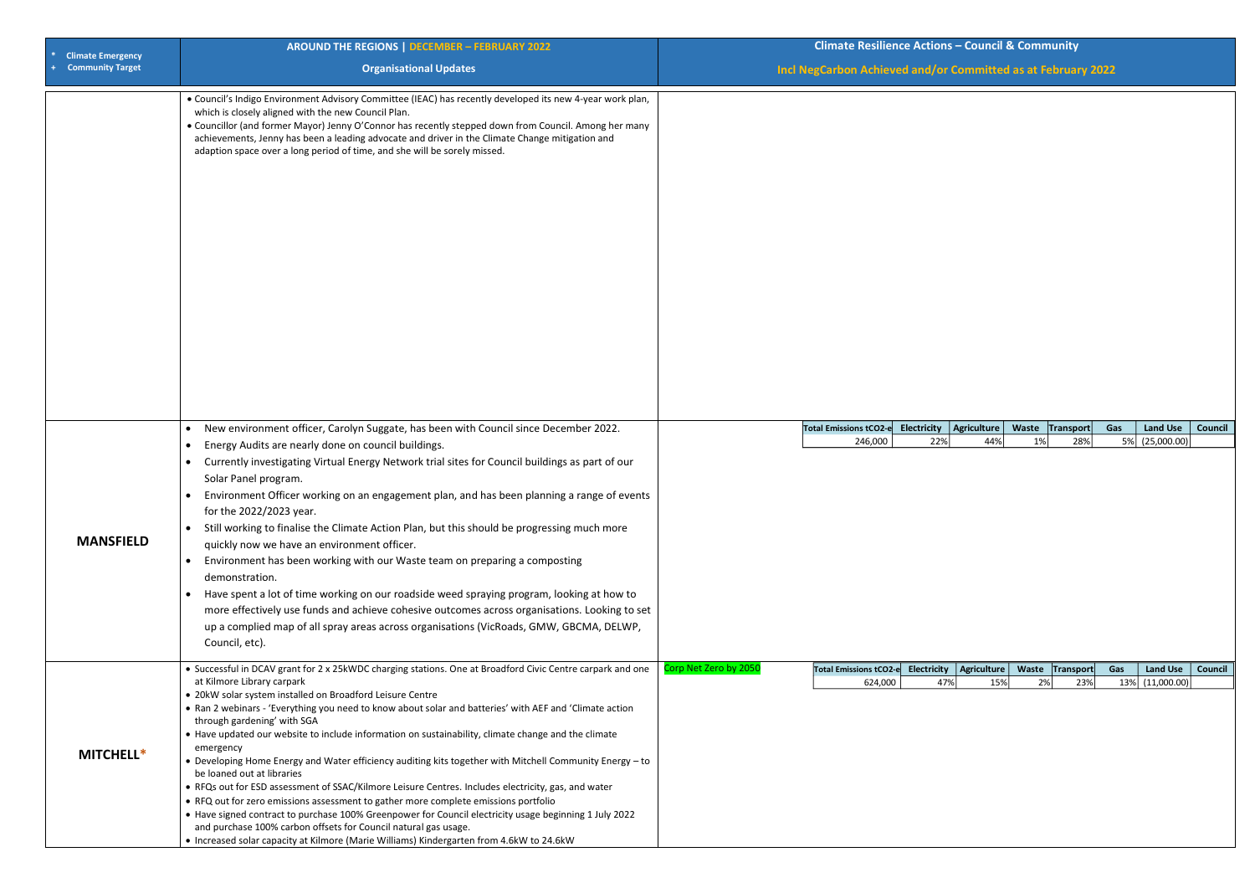| <b>Climate Emergency</b> | <b>AROUND THE REGIONS   DECEMBER - FEBRUARY 2022</b>                                                                                                                                                                                                                                                                                                                                                                                                                                                                                                                                                                                                                                                                                                                                                                                                                                                                                                                                                                                                                                 | <b>Climate Resilience Actions - Council &amp; Community</b>                                                                                                                                  |  |  |  |
|--------------------------|--------------------------------------------------------------------------------------------------------------------------------------------------------------------------------------------------------------------------------------------------------------------------------------------------------------------------------------------------------------------------------------------------------------------------------------------------------------------------------------------------------------------------------------------------------------------------------------------------------------------------------------------------------------------------------------------------------------------------------------------------------------------------------------------------------------------------------------------------------------------------------------------------------------------------------------------------------------------------------------------------------------------------------------------------------------------------------------|----------------------------------------------------------------------------------------------------------------------------------------------------------------------------------------------|--|--|--|
| <b>Community Target</b>  | <b>Organisational Updates</b>                                                                                                                                                                                                                                                                                                                                                                                                                                                                                                                                                                                                                                                                                                                                                                                                                                                                                                                                                                                                                                                        | Incl NegCarbon Achieved and/or Committed as at February 2022                                                                                                                                 |  |  |  |
|                          | . Council's Indigo Environment Advisory Committee (IEAC) has recently developed its new 4-year work plan,<br>which is closely aligned with the new Council Plan.<br>• Councillor (and former Mayor) Jenny O'Connor has recently stepped down from Council. Among her many<br>achievements, Jenny has been a leading advocate and driver in the Climate Change mitigation and<br>adaption space over a long period of time, and she will be sorely missed.                                                                                                                                                                                                                                                                                                                                                                                                                                                                                                                                                                                                                            |                                                                                                                                                                                              |  |  |  |
| <b>MANSFIELD</b>         | New environment officer, Carolyn Suggate, has been with Council since December 2022.<br>$\bullet$<br>Energy Audits are nearly done on council buildings.<br>$\bullet$<br>Currently investigating Virtual Energy Network trial sites for Council buildings as part of our<br>Solar Panel program.<br>Environment Officer working on an engagement plan, and has been planning a range of events<br>for the 2022/2023 year.<br>• Still working to finalise the Climate Action Plan, but this should be progressing much more<br>quickly now we have an environment officer.<br>• Environment has been working with our Waste team on preparing a composting<br>demonstration.<br>• Have spent a lot of time working on our roadside weed spraying program, looking at how to                                                                                                                                                                                                                                                                                                           | <b>Electricity</b><br>Agriculture<br><b>Land Use</b><br>Total Emissions tCO2-e<br>Waste Transport<br>Gas<br>Council<br>22%<br>5% (25,000.00)<br>1%<br>28%<br>246,000<br>44%                  |  |  |  |
|                          | more effectively use funds and achieve cohesive outcomes across organisations. Looking to set<br>up a complied map of all spray areas across organisations (VicRoads, GMW, GBCMA, DELWP,<br>Council, etc).                                                                                                                                                                                                                                                                                                                                                                                                                                                                                                                                                                                                                                                                                                                                                                                                                                                                           |                                                                                                                                                                                              |  |  |  |
| <b>MITCHELL*</b>         | • Successful in DCAV grant for 2 x 25kWDC charging stations. One at Broadford Civic Centre carpark and one<br>at Kilmore Library carpark<br>• 20kW solar system installed on Broadford Leisure Centre<br>. Ran 2 webinars - 'Everything you need to know about solar and batteries' with AEF and 'Climate action<br>through gardening' with SGA<br>• Have updated our website to include information on sustainability, climate change and the climate<br>emergency<br>• Developing Home Energy and Water efficiency auditing kits together with Mitchell Community Energy - to<br>be loaned out at libraries<br>• RFQs out for ESD assessment of SSAC/Kilmore Leisure Centres. Includes electricity, gas, and water<br>• RFQ out for zero emissions assessment to gather more complete emissions portfolio<br>• Have signed contract to purchase 100% Greenpower for Council electricity usage beginning 1 July 2022<br>and purchase 100% carbon offsets for Council natural gas usage.<br>• Increased solar capacity at Kilmore (Marie Williams) Kindergarten from 4.6kW to 24.6kW | Corp Net Zero by 2050<br>Total Emissions tCO2-e Electricity<br>Agriculture   Waste   Transport<br>Gas<br><b>Land Use</b><br>Council<br>624,000<br>47%<br>15%<br>2%<br>23%<br>13% (11,000.00) |  |  |  |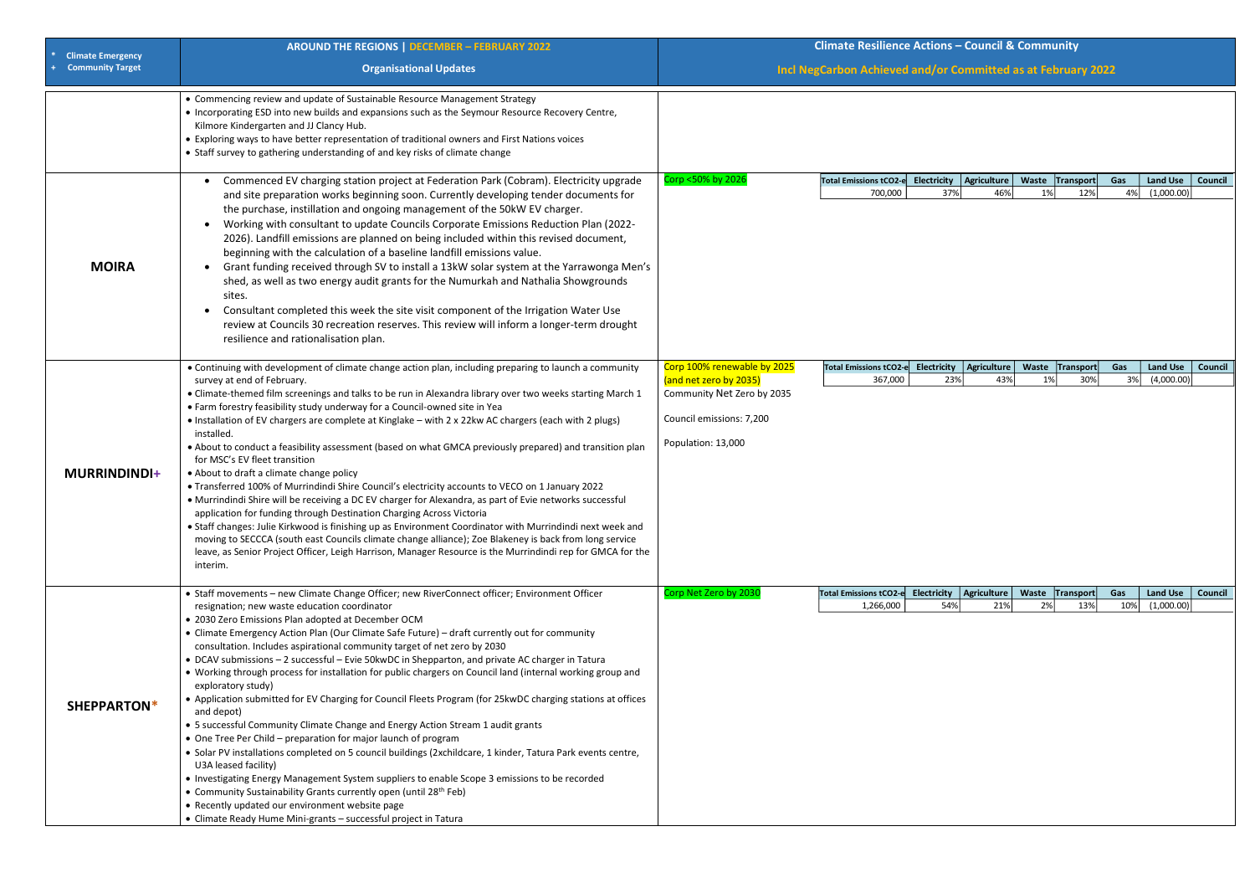| <b>Climate Emergency</b> | <b>AROUND THE REGIONS   DECEMBER - FEBRUARY 2022</b>                                                                                                                                                                                                                                                                                                                                                                                                                                                                                                                                                                                                                                                                                                                                                                                                                                                                                                                                                                                                                                                                                                                                                                                                                                      | <b>Climate Resilience Actions - Council &amp; Community</b>                                                                           |                                   |                                               |     |             |                  |           |                               |                |
|--------------------------|-------------------------------------------------------------------------------------------------------------------------------------------------------------------------------------------------------------------------------------------------------------------------------------------------------------------------------------------------------------------------------------------------------------------------------------------------------------------------------------------------------------------------------------------------------------------------------------------------------------------------------------------------------------------------------------------------------------------------------------------------------------------------------------------------------------------------------------------------------------------------------------------------------------------------------------------------------------------------------------------------------------------------------------------------------------------------------------------------------------------------------------------------------------------------------------------------------------------------------------------------------------------------------------------|---------------------------------------------------------------------------------------------------------------------------------------|-----------------------------------|-----------------------------------------------|-----|-------------|------------------|-----------|-------------------------------|----------------|
| <b>Community Target</b>  | <b>Organisational Updates</b>                                                                                                                                                                                                                                                                                                                                                                                                                                                                                                                                                                                                                                                                                                                                                                                                                                                                                                                                                                                                                                                                                                                                                                                                                                                             | Incl NegCarbon Achieved and/or Committed as at February 2022                                                                          |                                   |                                               |     |             |                  |           |                               |                |
|                          | • Commencing review and update of Sustainable Resource Management Strategy<br>• Incorporating ESD into new builds and expansions such as the Seymour Resource Recovery Centre,<br>Kilmore Kindergarten and JJ Clancy Hub.<br>• Exploring ways to have better representation of traditional owners and First Nations voices<br>• Staff survey to gathering understanding of and key risks of climate change                                                                                                                                                                                                                                                                                                                                                                                                                                                                                                                                                                                                                                                                                                                                                                                                                                                                                |                                                                                                                                       |                                   |                                               |     |             |                  |           |                               |                |
| <b>MOIRA</b>             | Commenced EV charging station project at Federation Park (Cobram). Electricity upgrade<br>and site preparation works beginning soon. Currently developing tender documents for<br>the purchase, instillation and ongoing management of the 50kW EV charger.<br>Working with consultant to update Councils Corporate Emissions Reduction Plan (2022-<br>2026). Landfill emissions are planned on being included within this revised document,<br>beginning with the calculation of a baseline landfill emissions value.<br>Grant funding received through SV to install a 13kW solar system at the Yarrawonga Men's<br>$\bullet$<br>shed, as well as two energy audit grants for the Numurkah and Nathalia Showgrounds<br>sites.<br>Consultant completed this week the site visit component of the Irrigation Water Use<br>$\bullet$<br>review at Councils 30 recreation reserves. This review will inform a longer-term drought<br>resilience and rationalisation plan.                                                                                                                                                                                                                                                                                                                   | Corp <50% by 2026                                                                                                                     | Total Emissions tCO2-e<br>700,000 | Electricity $ $ Agriculture $ $<br>37%        | 46% | Waste<br>1% | Transport<br>12% | Gas<br>4% | <b>Land Use</b><br>(1,000.00) | <b>Council</b> |
| <b>MURRINDINDI+</b>      | • Continuing with development of climate change action plan, including preparing to launch a community<br>survey at end of February.<br>• Climate-themed film screenings and talks to be run in Alexandra library over two weeks starting March 1<br>• Farm forestry feasibility study underway for a Council-owned site in Yea<br>• Installation of EV chargers are complete at Kinglake - with 2 x 22kw AC chargers (each with 2 plugs)<br>installed.<br>. About to conduct a feasibility assessment (based on what GMCA previously prepared) and transition plan<br>for MSC's EV fleet transition<br>• About to draft a climate change policy<br>• Transferred 100% of Murrindindi Shire Council's electricity accounts to VECO on 1 January 2022<br>• Murrindindi Shire will be receiving a DC EV charger for Alexandra, as part of Evie networks successful<br>application for funding through Destination Charging Across Victoria<br>• Staff changes: Julie Kirkwood is finishing up as Environment Coordinator with Murrindindi next week and<br>moving to SECCCA (south east Councils climate change alliance); Zoe Blakeney is back from long service<br>leave, as Senior Project Officer, Leigh Harrison, Manager Resource is the Murrindindi rep for GMCA for the<br>interim. | Corp 100% renewable by 2025<br>(and net zero by 2035)<br>Community Net Zero by 2035<br>Council emissions: 7,200<br>Population: 13,000 | Total Emissions tCO2-<br>367,000  | Electricity   Agriculture<br>23%              | 43% | Waste<br>1% | Transport<br>30% | Gas<br>3% | <b>Land Use</b><br>(4,000.00) | Council        |
|                          | • Staff movements - new Climate Change Officer; new RiverConnect officer; Environment Officer                                                                                                                                                                                                                                                                                                                                                                                                                                                                                                                                                                                                                                                                                                                                                                                                                                                                                                                                                                                                                                                                                                                                                                                             | Corp Net Zero by 2030                                                                                                                 | <b>Total Emissions tCO2-e</b>     | Electricity   Agriculture   Waste   Transport |     |             |                  | Gas       | <b>Land Use</b>               | Council        |
| SHEPPARTON*              | resignation; new waste education coordinator<br>• 2030 Zero Emissions Plan adopted at December OCM<br>• Climate Emergency Action Plan (Our Climate Safe Future) - draft currently out for community<br>consultation. Includes aspirational community target of net zero by 2030<br>• DCAV submissions - 2 successful - Evie 50kwDC in Shepparton, and private AC charger in Tatura<br>. Working through process for installation for public chargers on Council land (internal working group and<br>exploratory study)<br>• Application submitted for EV Charging for Council Fleets Program (for 25kwDC charging stations at offices<br>and depot)<br>• 5 successful Community Climate Change and Energy Action Stream 1 audit grants<br>• One Tree Per Child - preparation for major launch of program<br>• Solar PV installations completed on 5 council buildings (2xchildcare, 1 kinder, Tatura Park events centre,<br>U3A leased facility)<br>• Investigating Energy Management System suppliers to enable Scope 3 emissions to be recorded<br>• Community Sustainability Grants currently open (until 28 <sup>th</sup> Feb)<br>• Recently updated our environment website page<br>• Climate Ready Hume Mini-grants - successful project in Tatura                                  |                                                                                                                                       | 1,266,000                         | 54%                                           | 21% | 2%          | 13%              | 10%       | (1,000.00)                    |                |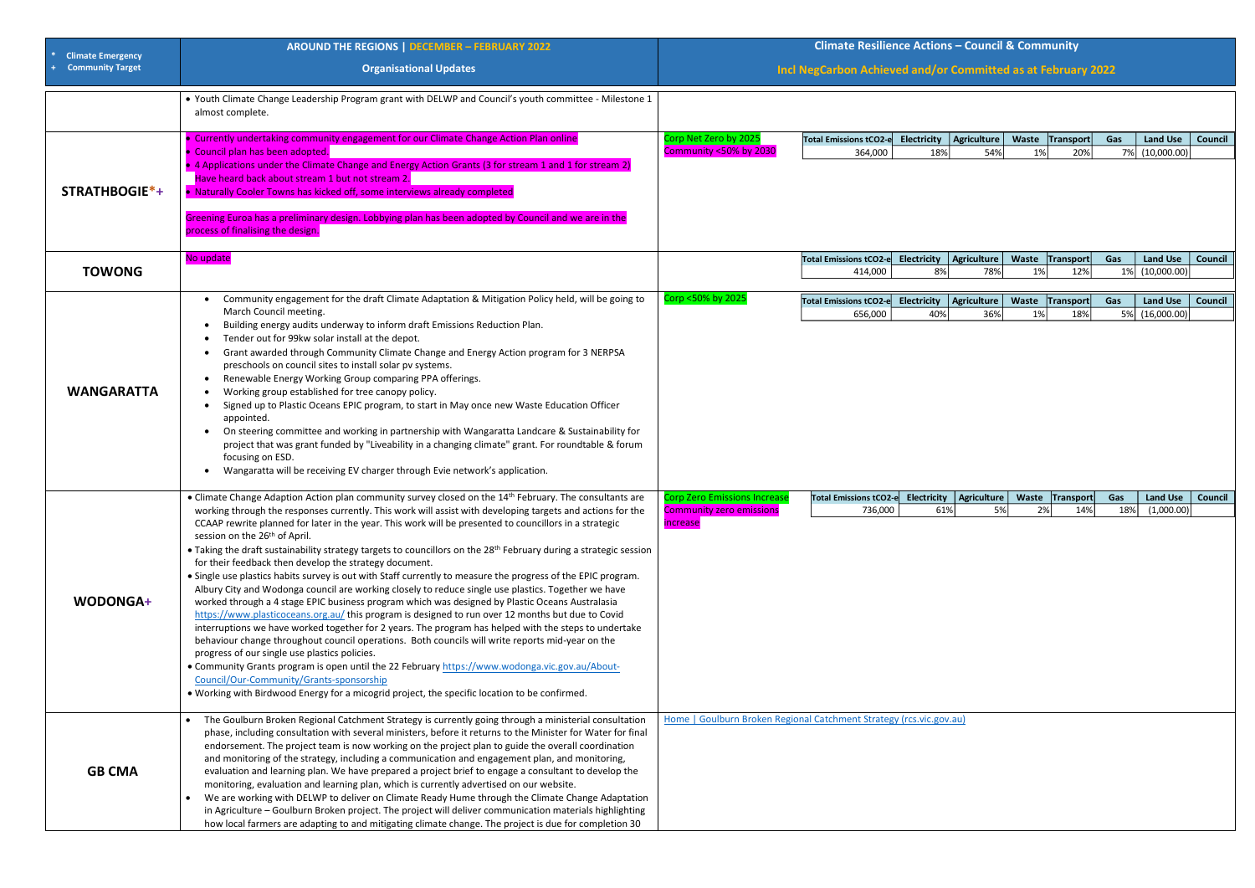| <b>Climate Emergency</b> | <b>AROUND THE REGIONS   DECEMBER - FEBRUARY 2022</b>                                                                                                                                                                                                                                                                                                                                                                                                                                                                                                                                                                                                                                                                                                                                                                                                                                                                                                                                                                                                                                                                                                                                                                                                                                                                                                                                                                                                                                                                            | <b>Climate Resilience Actions - Council &amp; Community</b>                               |                                                              |                          |                    |                       |                        |           |                                      |                |
|--------------------------|---------------------------------------------------------------------------------------------------------------------------------------------------------------------------------------------------------------------------------------------------------------------------------------------------------------------------------------------------------------------------------------------------------------------------------------------------------------------------------------------------------------------------------------------------------------------------------------------------------------------------------------------------------------------------------------------------------------------------------------------------------------------------------------------------------------------------------------------------------------------------------------------------------------------------------------------------------------------------------------------------------------------------------------------------------------------------------------------------------------------------------------------------------------------------------------------------------------------------------------------------------------------------------------------------------------------------------------------------------------------------------------------------------------------------------------------------------------------------------------------------------------------------------|-------------------------------------------------------------------------------------------|--------------------------------------------------------------|--------------------------|--------------------|-----------------------|------------------------|-----------|--------------------------------------|----------------|
| <b>Community Target</b>  | <b>Organisational Updates</b>                                                                                                                                                                                                                                                                                                                                                                                                                                                                                                                                                                                                                                                                                                                                                                                                                                                                                                                                                                                                                                                                                                                                                                                                                                                                                                                                                                                                                                                                                                   |                                                                                           | Incl NegCarbon Achieved and/or Committed as at February 2022 |                          |                    |                       |                        |           |                                      |                |
|                          | . Youth Climate Change Leadership Program grant with DELWP and Council's youth committee - Milestone 1<br>almost complete.                                                                                                                                                                                                                                                                                                                                                                                                                                                                                                                                                                                                                                                                                                                                                                                                                                                                                                                                                                                                                                                                                                                                                                                                                                                                                                                                                                                                      |                                                                                           |                                                              |                          |                    |                       |                        |           |                                      |                |
| STRATHBOGIE*+            | • Currently undertaking community engagement for our Climate Change Action Plan online<br>• Council plan has been adopted.<br>• 4 Applications under the Climate Change and Energy Action Grants (3 for stream 1 and 1 for stream 2)<br>Have heard back about stream 1 but not stream 2.<br>• Naturally Cooler Towns has kicked off, some interviews already completed<br>Greening Euroa has a preliminary design. Lobbying plan has been adopted by Council and we are in the<br>process of finalising the design.                                                                                                                                                                                                                                                                                                                                                                                                                                                                                                                                                                                                                                                                                                                                                                                                                                                                                                                                                                                                             | Corp Net Zero by 2025<br>Community <50% by 2030                                           | Total Emissions tCO2-e<br>364,000                            | Electricity<br>18%       | Agriculture<br>54% | Waste Transport<br>1% | 20%                    | Gas<br>7% | <b>Land Use</b><br>(10,000.00)       | <b>Council</b> |
| <b>TOWONG</b>            | No update                                                                                                                                                                                                                                                                                                                                                                                                                                                                                                                                                                                                                                                                                                                                                                                                                                                                                                                                                                                                                                                                                                                                                                                                                                                                                                                                                                                                                                                                                                                       |                                                                                           | <b>Total Emissions tCO2-e</b><br>414,000                     | <b>Electricity</b><br>8% | Agriculture<br>78% | Waste Transport<br>1% | 12%                    | Gas       | <b>Land Use</b><br>1% (10,000.00)    | <b>Council</b> |
| <b>WANGARATTA</b>        | Community engagement for the draft Climate Adaptation & Mitigation Policy held, will be going to<br>March Council meeting.<br>Building energy audits underway to inform draft Emissions Reduction Plan.<br>Tender out for 99kw solar install at the depot.<br>Grant awarded through Community Climate Change and Energy Action program for 3 NERPSA<br>$\bullet$<br>preschools on council sites to install solar pv systems.<br>Renewable Energy Working Group comparing PPA offerings.<br>$\bullet$<br>Working group established for tree canopy policy.<br>Signed up to Plastic Oceans EPIC program, to start in May once new Waste Education Officer<br>appointed.<br>• On steering committee and working in partnership with Wangaratta Landcare & Sustainability for<br>project that was grant funded by "Liveability in a changing climate" grant. For roundtable & forum<br>focusing on ESD.<br>Wangaratta will be receiving EV charger through Evie network's application.                                                                                                                                                                                                                                                                                                                                                                                                                                                                                                                                              | Corp <50% by 2025                                                                         | <b>Total Emissions tCO2-e</b><br>656,000                     | Electricity<br>40%       | Agriculture<br>36% | Waste Transport<br>1% | 18%                    | Gas       | <b>Land Use</b><br>5% (16,000.00)    | <b>Council</b> |
| WODONGA+                 | • Climate Change Adaption Action plan community survey closed on the 14 <sup>th</sup> February. The consultants are<br>working through the responses currently. This work will assist with developing targets and actions for the<br>CCAAP rewrite planned for later in the year. This work will be presented to councillors in a strategic<br>session on the 26 <sup>th</sup> of April.<br>• Taking the draft sustainability strategy targets to councillors on the 28 <sup>th</sup> February during a strategic session<br>for their feedback then develop the strategy document.<br>• Single use plastics habits survey is out with Staff currently to measure the progress of the EPIC program.<br>Albury City and Wodonga council are working closely to reduce single use plastics. Together we have<br>worked through a 4 stage EPIC business program which was designed by Plastic Oceans Australasia<br>https://www.plasticoceans.org.au/ this program is designed to run over 12 months but due to Covid<br>interruptions we have worked together for 2 years. The program has helped with the steps to undertake<br>behaviour change throughout council operations. Both councils will write reports mid-year on the<br>progress of our single use plastics policies.<br>• Community Grants program is open until the 22 February https://www.wodonga.vic.gov.au/About-<br>Council/Our-Community/Grants-sponsorship<br>. Working with Birdwood Energy for a micogrid project, the specific location to be confirmed. | <b>Corp Zero Emissions Increase</b><br><b>Community zero emissions</b><br><i>increase</i> | Total Emissions tCO2-e Electricity   Agriculture<br>736,000  | 61%                      | 5%                 | 2%                    | Waste Transport<br>14% | Gas       | Land Use   Council<br>18% (1,000.00) |                |
| <b>GB CMA</b>            | The Goulburn Broken Regional Catchment Strategy is currently going through a ministerial consultation<br>phase, including consultation with several ministers, before it returns to the Minister for Water for final<br>endorsement. The project team is now working on the project plan to guide the overall coordination<br>and monitoring of the strategy, including a communication and engagement plan, and monitoring,<br>evaluation and learning plan. We have prepared a project brief to engage a consultant to develop the<br>monitoring, evaluation and learning plan, which is currently advertised on our website.<br>We are working with DELWP to deliver on Climate Ready Hume through the Climate Change Adaptation<br>in Agriculture - Goulburn Broken project. The project will deliver communication materials highlighting<br>how local farmers are adapting to and mitigating climate change. The project is due for completion 30                                                                                                                                                                                                                                                                                                                                                                                                                                                                                                                                                                         | Home   Goulburn Broken Regional Catchment Strategy (rcs.vic.gov.au)                       |                                                              |                          |                    |                       |                        |           |                                      |                |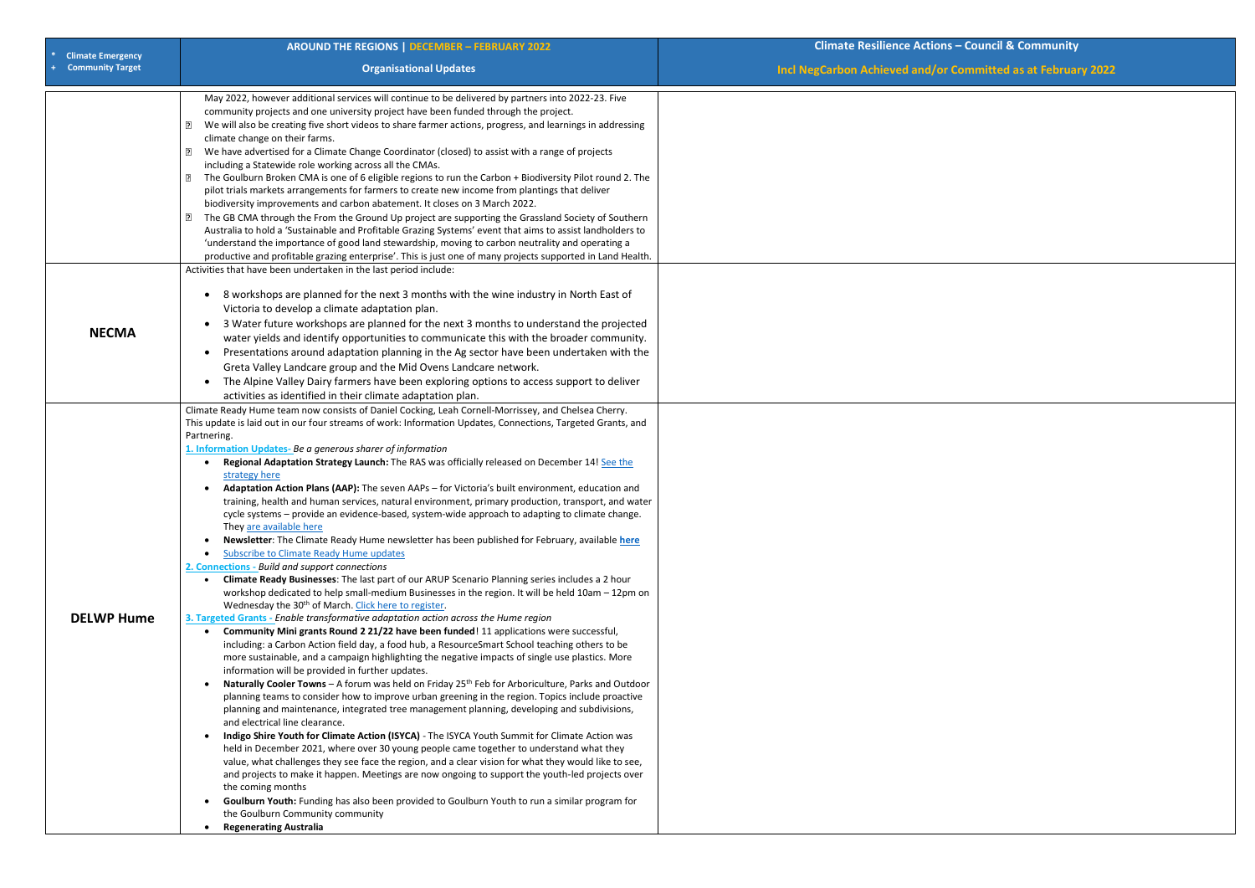| <b>Climate Emergency</b><br><b>Community Target</b><br><b>Organisational Updates</b><br>May 2022, however additional services will continue to be delivered by partners into 2022-23. Five<br>community projects and one university project have been funded through the project.<br>We will also be creating five short videos to share farmer actions, progress, and learnings in addressing<br>?<br>climate change on their farms.<br>We have advertised for a Climate Change Coordinator (closed) to assist with a range of projects<br>3<br>including a Statewide role working across all the CMAs.<br>The Goulburn Broken CMA is one of 6 eligible regions to run the Carbon + Biodiversity Pilot round 2. The<br>$\mathbf{E}$ | <b>Incl NegCarbon Achieved and/or</b> |
|--------------------------------------------------------------------------------------------------------------------------------------------------------------------------------------------------------------------------------------------------------------------------------------------------------------------------------------------------------------------------------------------------------------------------------------------------------------------------------------------------------------------------------------------------------------------------------------------------------------------------------------------------------------------------------------------------------------------------------------|---------------------------------------|
|                                                                                                                                                                                                                                                                                                                                                                                                                                                                                                                                                                                                                                                                                                                                      |                                       |
|                                                                                                                                                                                                                                                                                                                                                                                                                                                                                                                                                                                                                                                                                                                                      |                                       |
|                                                                                                                                                                                                                                                                                                                                                                                                                                                                                                                                                                                                                                                                                                                                      |                                       |
|                                                                                                                                                                                                                                                                                                                                                                                                                                                                                                                                                                                                                                                                                                                                      |                                       |
|                                                                                                                                                                                                                                                                                                                                                                                                                                                                                                                                                                                                                                                                                                                                      |                                       |
|                                                                                                                                                                                                                                                                                                                                                                                                                                                                                                                                                                                                                                                                                                                                      |                                       |
| pilot trials markets arrangements for farmers to create new income from plantings that deliver                                                                                                                                                                                                                                                                                                                                                                                                                                                                                                                                                                                                                                       |                                       |
| biodiversity improvements and carbon abatement. It closes on 3 March 2022.                                                                                                                                                                                                                                                                                                                                                                                                                                                                                                                                                                                                                                                           |                                       |
| The GB CMA through the From the Ground Up project are supporting the Grassland Society of Southern<br>2                                                                                                                                                                                                                                                                                                                                                                                                                                                                                                                                                                                                                              |                                       |
| Australia to hold a 'Sustainable and Profitable Grazing Systems' event that aims to assist landholders to                                                                                                                                                                                                                                                                                                                                                                                                                                                                                                                                                                                                                            |                                       |
| 'understand the importance of good land stewardship, moving to carbon neutrality and operating a                                                                                                                                                                                                                                                                                                                                                                                                                                                                                                                                                                                                                                     |                                       |
| productive and profitable grazing enterprise'. This is just one of many projects supported in Land Health.                                                                                                                                                                                                                                                                                                                                                                                                                                                                                                                                                                                                                           |                                       |
| Activities that have been undertaken in the last period include:                                                                                                                                                                                                                                                                                                                                                                                                                                                                                                                                                                                                                                                                     |                                       |
| 8 workshops are planned for the next 3 months with the wine industry in North East of<br>$\bullet$                                                                                                                                                                                                                                                                                                                                                                                                                                                                                                                                                                                                                                   |                                       |
| Victoria to develop a climate adaptation plan.                                                                                                                                                                                                                                                                                                                                                                                                                                                                                                                                                                                                                                                                                       |                                       |
| 3 Water future workshops are planned for the next 3 months to understand the projected<br>$\bullet$                                                                                                                                                                                                                                                                                                                                                                                                                                                                                                                                                                                                                                  |                                       |
| <b>NECMA</b><br>water yields and identify opportunities to communicate this with the broader community.                                                                                                                                                                                                                                                                                                                                                                                                                                                                                                                                                                                                                              |                                       |
| Presentations around adaptation planning in the Ag sector have been undertaken with the<br>$\bullet$                                                                                                                                                                                                                                                                                                                                                                                                                                                                                                                                                                                                                                 |                                       |
| Greta Valley Landcare group and the Mid Ovens Landcare network.                                                                                                                                                                                                                                                                                                                                                                                                                                                                                                                                                                                                                                                                      |                                       |
| The Alpine Valley Dairy farmers have been exploring options to access support to deliver<br>$\bullet$<br>activities as identified in their climate adaptation plan.                                                                                                                                                                                                                                                                                                                                                                                                                                                                                                                                                                  |                                       |
| Climate Ready Hume team now consists of Daniel Cocking, Leah Cornell-Morrissey, and Chelsea Cherry.                                                                                                                                                                                                                                                                                                                                                                                                                                                                                                                                                                                                                                  |                                       |
| This update is laid out in our four streams of work: Information Updates, Connections, Targeted Grants, and                                                                                                                                                                                                                                                                                                                                                                                                                                                                                                                                                                                                                          |                                       |
| Partnering.                                                                                                                                                                                                                                                                                                                                                                                                                                                                                                                                                                                                                                                                                                                          |                                       |
| 1. Information Updates-Be a generous sharer of information                                                                                                                                                                                                                                                                                                                                                                                                                                                                                                                                                                                                                                                                           |                                       |
| Regional Adaptation Strategy Launch: The RAS was officially released on December 14! See the<br>$\bullet$<br>strategy here                                                                                                                                                                                                                                                                                                                                                                                                                                                                                                                                                                                                           |                                       |
| Adaptation Action Plans (AAP): The seven AAPs - for Victoria's built environment, education and                                                                                                                                                                                                                                                                                                                                                                                                                                                                                                                                                                                                                                      |                                       |
| training, health and human services, natural environment, primary production, transport, and water                                                                                                                                                                                                                                                                                                                                                                                                                                                                                                                                                                                                                                   |                                       |
| cycle systems - provide an evidence-based, system-wide approach to adapting to climate change.                                                                                                                                                                                                                                                                                                                                                                                                                                                                                                                                                                                                                                       |                                       |
| They are available here                                                                                                                                                                                                                                                                                                                                                                                                                                                                                                                                                                                                                                                                                                              |                                       |
| Newsletter: The Climate Ready Hume newsletter has been published for February, available here<br>$\bullet$<br>Subscribe to Climate Ready Hume updates<br>$\bullet$                                                                                                                                                                                                                                                                                                                                                                                                                                                                                                                                                                   |                                       |
| 2. Connections - Build and support connections                                                                                                                                                                                                                                                                                                                                                                                                                                                                                                                                                                                                                                                                                       |                                       |
| Climate Ready Businesses: The last part of our ARUP Scenario Planning series includes a 2 hour                                                                                                                                                                                                                                                                                                                                                                                                                                                                                                                                                                                                                                       |                                       |
| workshop dedicated to help small-medium Businesses in the region. It will be held 10am - 12pm on                                                                                                                                                                                                                                                                                                                                                                                                                                                                                                                                                                                                                                     |                                       |
| Wednesday the 30 <sup>th</sup> of March. Click here to register.                                                                                                                                                                                                                                                                                                                                                                                                                                                                                                                                                                                                                                                                     |                                       |
| <b>DELWP Hume</b><br>3. Targeted Grants - Enable transformative adaptation action across the Hume region<br>Community Mini grants Round 2 21/22 have been funded! 11 applications were successful,<br>$\bullet$                                                                                                                                                                                                                                                                                                                                                                                                                                                                                                                      |                                       |
| including: a Carbon Action field day, a food hub, a ResourceSmart School teaching others to be                                                                                                                                                                                                                                                                                                                                                                                                                                                                                                                                                                                                                                       |                                       |
| more sustainable, and a campaign highlighting the negative impacts of single use plastics. More                                                                                                                                                                                                                                                                                                                                                                                                                                                                                                                                                                                                                                      |                                       |
| information will be provided in further updates.                                                                                                                                                                                                                                                                                                                                                                                                                                                                                                                                                                                                                                                                                     |                                       |
| Naturally Cooler Towns - A forum was held on Friday 25th Feb for Arboriculture, Parks and Outdoor<br>$\bullet$                                                                                                                                                                                                                                                                                                                                                                                                                                                                                                                                                                                                                       |                                       |
| planning teams to consider how to improve urban greening in the region. Topics include proactive<br>planning and maintenance, integrated tree management planning, developing and subdivisions,                                                                                                                                                                                                                                                                                                                                                                                                                                                                                                                                      |                                       |
| and electrical line clearance.                                                                                                                                                                                                                                                                                                                                                                                                                                                                                                                                                                                                                                                                                                       |                                       |
| Indigo Shire Youth for Climate Action (ISYCA) - The ISYCA Youth Summit for Climate Action was<br>$\bullet$                                                                                                                                                                                                                                                                                                                                                                                                                                                                                                                                                                                                                           |                                       |
| held in December 2021, where over 30 young people came together to understand what they                                                                                                                                                                                                                                                                                                                                                                                                                                                                                                                                                                                                                                              |                                       |
| value, what challenges they see face the region, and a clear vision for what they would like to see,                                                                                                                                                                                                                                                                                                                                                                                                                                                                                                                                                                                                                                 |                                       |
| and projects to make it happen. Meetings are now ongoing to support the youth-led projects over<br>the coming months                                                                                                                                                                                                                                                                                                                                                                                                                                                                                                                                                                                                                 |                                       |
| Goulburn Youth: Funding has also been provided to Goulburn Youth to run a similar program for                                                                                                                                                                                                                                                                                                                                                                                                                                                                                                                                                                                                                                        |                                       |
| the Goulburn Community community                                                                                                                                                                                                                                                                                                                                                                                                                                                                                                                                                                                                                                                                                                     |                                       |
| <b>Regenerating Australia</b><br>$\bullet$                                                                                                                                                                                                                                                                                                                                                                                                                                                                                                                                                                                                                                                                                           |                                       |

**Council & Community** 

**Committed as at February 2022**